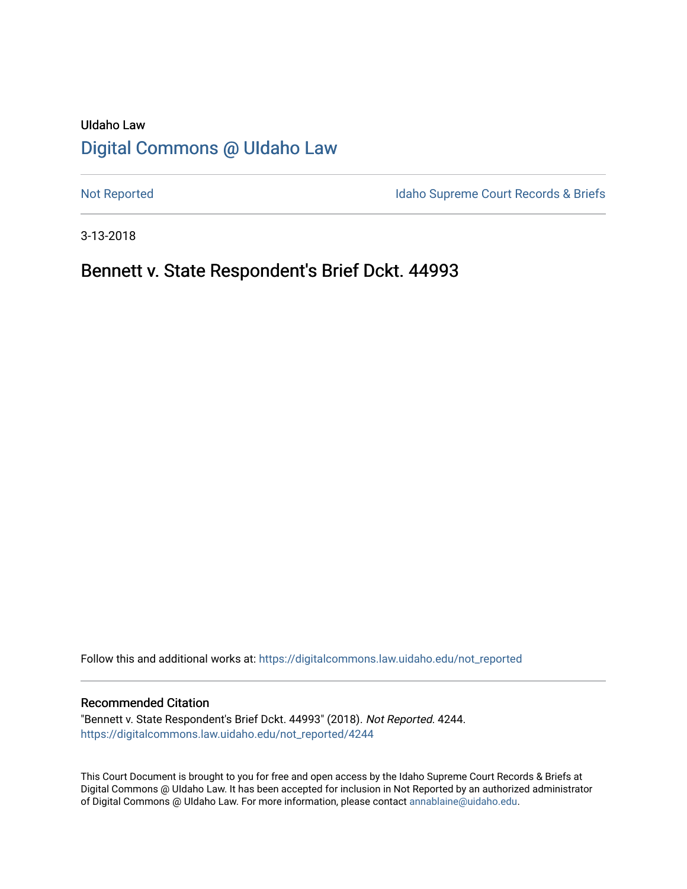# UIdaho Law [Digital Commons @ UIdaho Law](https://digitalcommons.law.uidaho.edu/)

[Not Reported](https://digitalcommons.law.uidaho.edu/not_reported) **Idaho Supreme Court Records & Briefs** 

3-13-2018

## Bennett v. State Respondent's Brief Dckt. 44993

Follow this and additional works at: [https://digitalcommons.law.uidaho.edu/not\\_reported](https://digitalcommons.law.uidaho.edu/not_reported?utm_source=digitalcommons.law.uidaho.edu%2Fnot_reported%2F4244&utm_medium=PDF&utm_campaign=PDFCoverPages) 

#### Recommended Citation

"Bennett v. State Respondent's Brief Dckt. 44993" (2018). Not Reported. 4244. [https://digitalcommons.law.uidaho.edu/not\\_reported/4244](https://digitalcommons.law.uidaho.edu/not_reported/4244?utm_source=digitalcommons.law.uidaho.edu%2Fnot_reported%2F4244&utm_medium=PDF&utm_campaign=PDFCoverPages)

This Court Document is brought to you for free and open access by the Idaho Supreme Court Records & Briefs at Digital Commons @ UIdaho Law. It has been accepted for inclusion in Not Reported by an authorized administrator of Digital Commons @ UIdaho Law. For more information, please contact [annablaine@uidaho.edu](mailto:annablaine@uidaho.edu).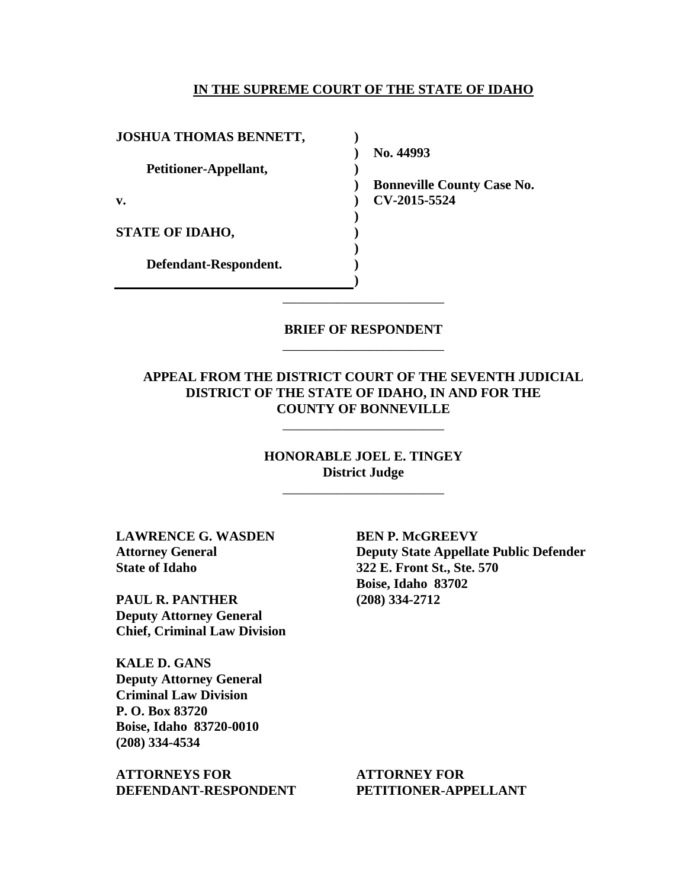#### **IN THE SUPREME COURT OF THE STATE OF IDAHO**

| <b>JOSHUA THOMAS BENNETT,</b> |                               |
|-------------------------------|-------------------------------|
|                               | No. 44993                     |
| Petitioner-Appellant,         |                               |
|                               | <b>Bonneville County Case</b> |
| v.                            | CV-2015-5524                  |
|                               |                               |
| <b>STATE OF IDAHO,</b>        |                               |
|                               |                               |
| Defendant-Respondent.         |                               |
|                               |                               |

## **BRIEF OF RESPONDENT** \_\_\_\_\_\_\_\_\_\_\_\_\_\_\_\_\_\_\_\_\_\_\_\_

\_\_\_\_\_\_\_\_\_\_\_\_\_\_\_\_\_\_\_\_\_\_\_\_

## **APPEAL FROM THE DISTRICT COURT OF THE SEVENTH JUDICIAL DISTRICT OF THE STATE OF IDAHO, IN AND FOR THE COUNTY OF BONNEVILLE**

**HONORABLE JOEL E. TINGEY District Judge**

\_\_\_\_\_\_\_\_\_\_\_\_\_\_\_\_\_\_\_\_\_\_\_\_

\_\_\_\_\_\_\_\_\_\_\_\_\_\_\_\_\_\_\_\_\_\_\_\_

**LAWRENCE G. WASDEN Attorney General State of Idaho**

**PAUL R. PANTHER Deputy Attorney General Chief, Criminal Law Division**

**KALE D. GANS Deputy Attorney General Criminal Law Division P. O. Box 83720 Boise, Idaho 83720-0010 (208) 334-4534**

**ATTORNEYS FOR DEFENDANT-RESPONDENT** **BEN P. McGREEVY Deputy State Appellate Public Defender 322 E. Front St., Ste. 570 Boise, Idaho 83702 (208) 334-2712**

No.

**ATTORNEY FOR PETITIONER-APPELLANT**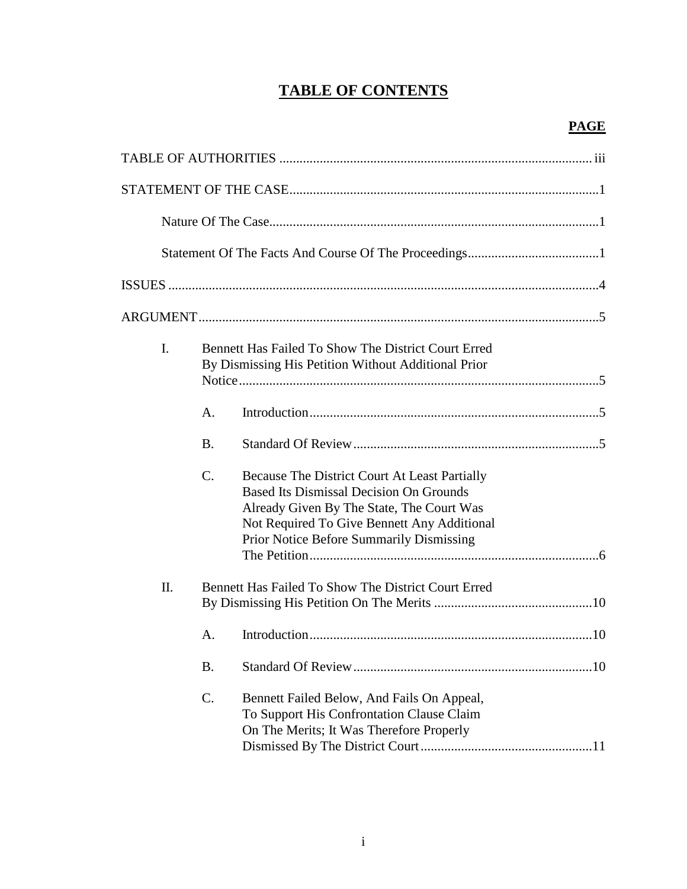# **TABLE OF CONTENTS**

| $\mathbf{I}$ .                                            | <b>Bennett Has Failed To Show The District Court Erred</b><br>By Dismissing His Petition Without Additional Prior |                                                                                                                                                                                                                                                |
|-----------------------------------------------------------|-------------------------------------------------------------------------------------------------------------------|------------------------------------------------------------------------------------------------------------------------------------------------------------------------------------------------------------------------------------------------|
|                                                           | A.                                                                                                                |                                                                                                                                                                                                                                                |
|                                                           | <b>B.</b>                                                                                                         |                                                                                                                                                                                                                                                |
|                                                           | $\mathcal{C}$ .                                                                                                   | Because The District Court At Least Partially<br><b>Based Its Dismissal Decision On Grounds</b><br>Already Given By The State, The Court Was<br>Not Required To Give Bennett Any Additional<br><b>Prior Notice Before Summarily Dismissing</b> |
| Π.<br>Bennett Has Failed To Show The District Court Erred |                                                                                                                   |                                                                                                                                                                                                                                                |
|                                                           | $\mathsf{A}$ .                                                                                                    |                                                                                                                                                                                                                                                |
|                                                           | <b>B.</b>                                                                                                         |                                                                                                                                                                                                                                                |
|                                                           | C.                                                                                                                | Bennett Failed Below, And Fails On Appeal,<br>To Support His Confrontation Clause Claim<br>On The Merits; It Was Therefore Properly                                                                                                            |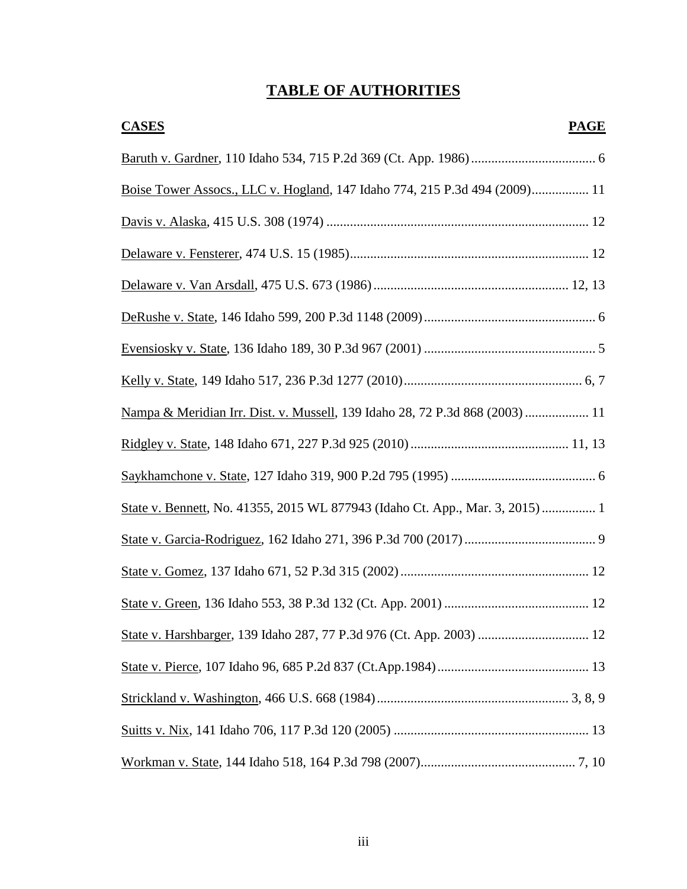# **TABLE OF AUTHORITIES**

| <b>CASES</b><br><b>PAGE</b>                                                   |
|-------------------------------------------------------------------------------|
|                                                                               |
| Boise Tower Assocs., LLC v. Hogland, 147 Idaho 774, 215 P.3d 494 (2009) 11    |
|                                                                               |
|                                                                               |
|                                                                               |
|                                                                               |
|                                                                               |
|                                                                               |
| Nampa & Meridian Irr. Dist. v. Mussell, 139 Idaho 28, 72 P.3d 868 (2003)  11  |
|                                                                               |
|                                                                               |
| State v. Bennett, No. 41355, 2015 WL 877943 (Idaho Ct. App., Mar. 3, 2015)  1 |
|                                                                               |
|                                                                               |
|                                                                               |
|                                                                               |
|                                                                               |
|                                                                               |
|                                                                               |
|                                                                               |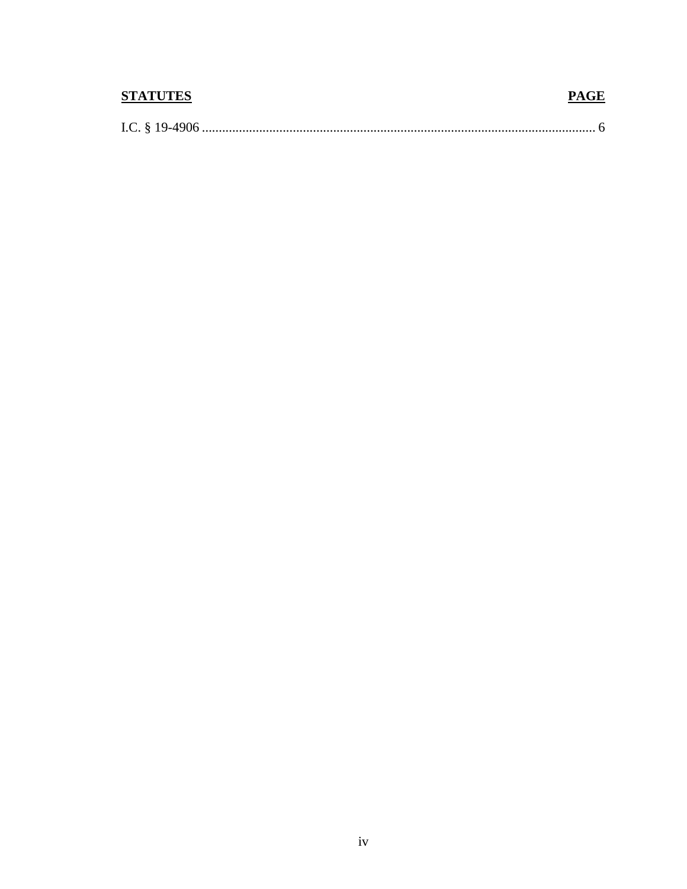| <b>STATUTES</b> | <b>PAGE</b> |
|-----------------|-------------|
|                 |             |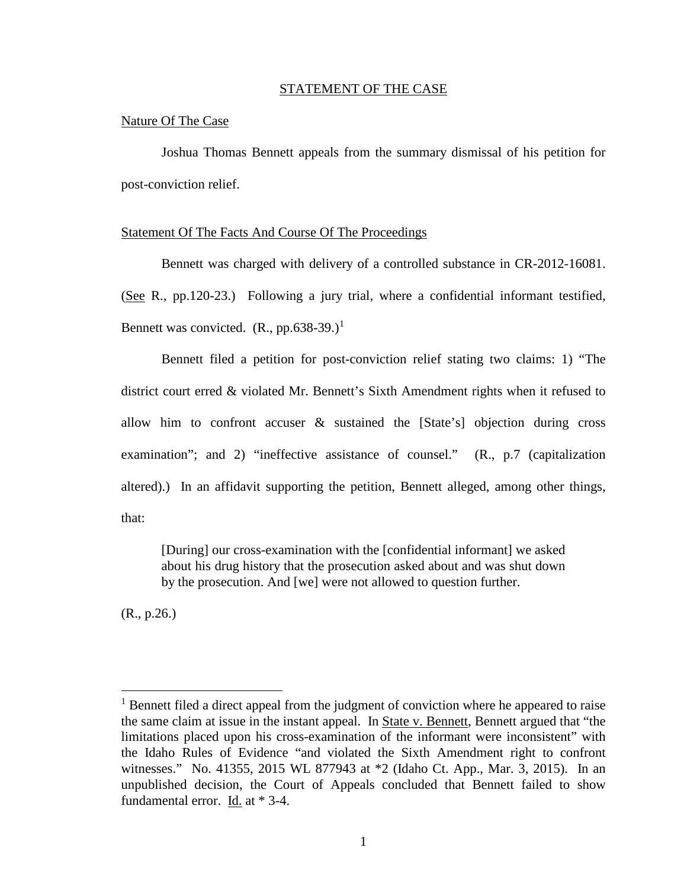#### STATEMENT OF THE CASE

#### Nature Of The Case

Joshua Thomas Bennett appeals from the summary dismissal of his petition for post-conviction relief.

#### Statement Of The Facts And Course Of The Proceedings

Bennett was charged with delivery of a controlled substance in CR-2012-16081. (See R., pp.120-23.) Following a jury trial, where a confidential informant testified, Bennett was convicted.  $(R., pp.638-39.)<sup>1</sup>$  $(R., pp.638-39.)<sup>1</sup>$  $(R., pp.638-39.)<sup>1</sup>$ 

Bennett filed a petition for post-conviction relief stating two claims: 1) "The district court erred & violated Mr. Bennett's Sixth Amendment rights when it refused to allow him to confront accuser & sustained the [State's] objection during cross examination"; and 2) "ineffective assistance of counsel." (R., p.7 (capitalization altered).) In an affidavit supporting the petition, Bennett alleged, among other things, that:

[During] our cross-examination with the [confidential informant] we asked about his drug history that the prosecution asked about and was shut down by the prosecution. And [we] were not allowed to question further.

(R., p.26.)

 $\overline{a}$ 

<span id="page-6-0"></span><sup>&</sup>lt;sup>1</sup> Bennett filed a direct appeal from the judgment of conviction where he appeared to raise the same claim at issue in the instant appeal. In State v. Bennett, Bennett argued that "the limitations placed upon his cross-examination of the informant were inconsistent" with the Idaho Rules of Evidence "and violated the Sixth Amendment right to confront witnesses." No. 41355, 2015 WL 877943 at \*2 (Idaho Ct. App., Mar. 3, 2015). In an unpublished decision, the Court of Appeals concluded that Bennett failed to show fundamental error. Id. at \* 3-4.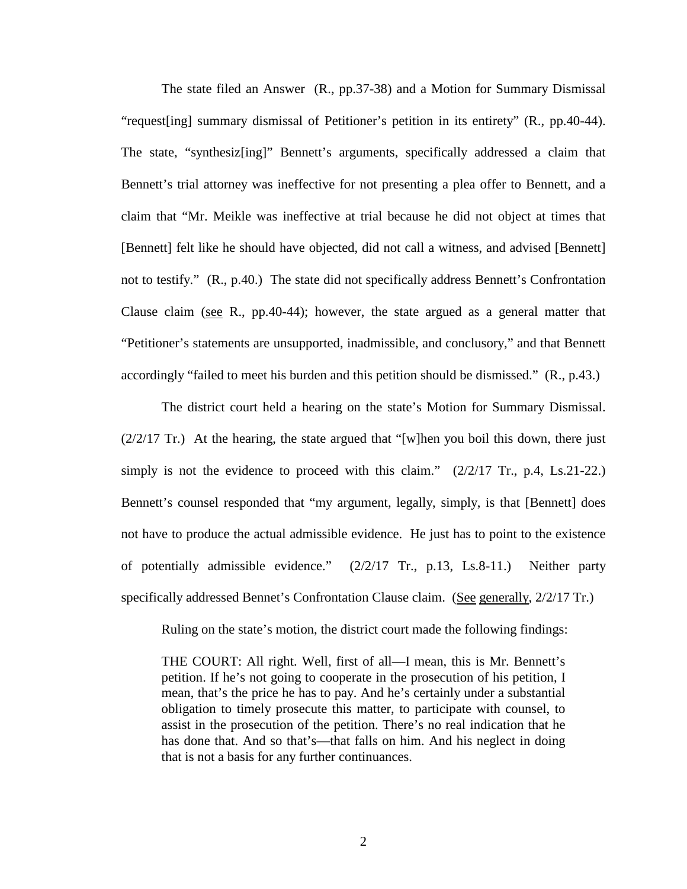The state filed an Answer (R., pp.37-38) and a Motion for Summary Dismissal "request[ing] summary dismissal of Petitioner's petition in its entirety" (R., pp.40-44). The state, "synthesiz[ing]" Bennett's arguments, specifically addressed a claim that Bennett's trial attorney was ineffective for not presenting a plea offer to Bennett, and a claim that "Mr. Meikle was ineffective at trial because he did not object at times that [Bennett] felt like he should have objected, did not call a witness, and advised [Bennett] not to testify." (R., p.40.) The state did not specifically address Bennett's Confrontation Clause claim (see R., pp.40-44); however, the state argued as a general matter that "Petitioner's statements are unsupported, inadmissible, and conclusory," and that Bennett accordingly "failed to meet his burden and this petition should be dismissed." (R., p.43.)

The district court held a hearing on the state's Motion for Summary Dismissal.  $(2/2/17$  Tr.) At the hearing, the state argued that "[w]hen you boil this down, there just simply is not the evidence to proceed with this claim."  $(2/2/17 \text{ Tr.}, \text{ p.4}, \text{ Ls.21-22.})$ Bennett's counsel responded that "my argument, legally, simply, is that [Bennett] does not have to produce the actual admissible evidence. He just has to point to the existence of potentially admissible evidence." (2/2/17 Tr., p.13, Ls.8-11.) Neither party specifically addressed Bennet's Confrontation Clause claim. (See generally, 2/2/17 Tr.)

Ruling on the state's motion, the district court made the following findings:

THE COURT: All right. Well, first of all—I mean, this is Mr. Bennett's petition. If he's not going to cooperate in the prosecution of his petition, I mean, that's the price he has to pay. And he's certainly under a substantial obligation to timely prosecute this matter, to participate with counsel, to assist in the prosecution of the petition. There's no real indication that he has done that. And so that's—that falls on him. And his neglect in doing that is not a basis for any further continuances.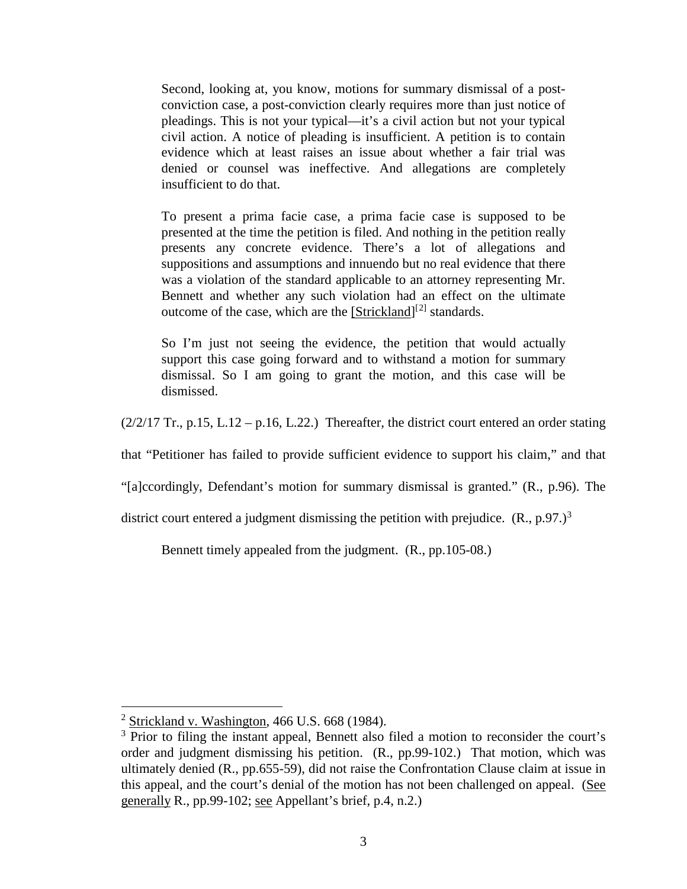Second, looking at, you know, motions for summary dismissal of a postconviction case, a post-conviction clearly requires more than just notice of pleadings. This is not your typical—it's a civil action but not your typical civil action. A notice of pleading is insufficient. A petition is to contain evidence which at least raises an issue about whether a fair trial was denied or counsel was ineffective. And allegations are completely insufficient to do that.

To present a prima facie case, a prima facie case is supposed to be presented at the time the petition is filed. And nothing in the petition really presents any concrete evidence. There's a lot of allegations and suppositions and assumptions and innuendo but no real evidence that there was a violation of the standard applicable to an attorney representing Mr. Bennett and whether any such violation had an effect on the ultimate outcome of the case, which are the [Strickland]<sup>[[2\]](#page-8-0)</sup> standards.

So I'm just not seeing the evidence, the petition that would actually support this case going forward and to withstand a motion for summary dismissal. So I am going to grant the motion, and this case will be dismissed.

 $(2/2/17$  Tr., p.15, L.12 – p.16, L.22.) Thereafter, the district court entered an order stating

that "Petitioner has failed to provide sufficient evidence to support his claim," and that

"[a]ccordingly, Defendant's motion for summary dismissal is granted." (R., p.96). The

district court entered a judgment dismissing the petition with prejudice.  $(R., p.97.)^3$  $(R., p.97.)^3$ 

Bennett timely appealed from the judgment. (R., pp.105-08.)

 $\overline{a}$ 

<span id="page-8-0"></span> $2$  Strickland v. Washington, 466 U.S. 668 (1984).

<span id="page-8-1"></span><sup>&</sup>lt;sup>3</sup> Prior to filing the instant appeal, Bennett also filed a motion to reconsider the court's order and judgment dismissing his petition. (R., pp.99-102.) That motion, which was ultimately denied (R., pp.655-59), did not raise the Confrontation Clause claim at issue in this appeal, and the court's denial of the motion has not been challenged on appeal. (See generally R., pp.99-102; see Appellant's brief, p.4, n.2.)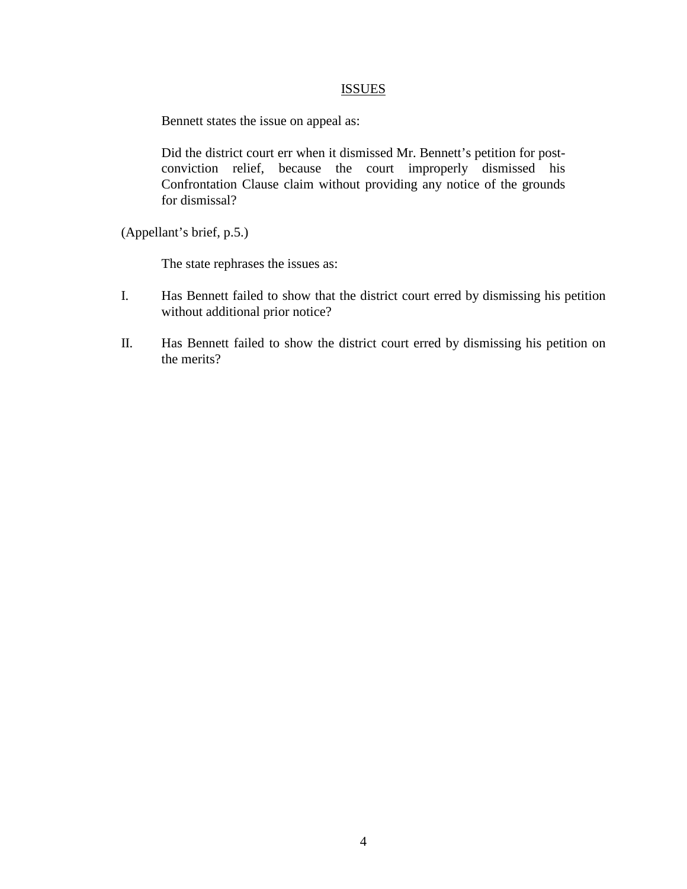## **ISSUES**

Bennett states the issue on appeal as:

Did the district court err when it dismissed Mr. Bennett's petition for postconviction relief, because the court improperly dismissed his Confrontation Clause claim without providing any notice of the grounds for dismissal?

(Appellant's brief, p.5.)

The state rephrases the issues as:

- I. Has Bennett failed to show that the district court erred by dismissing his petition without additional prior notice?
- II. Has Bennett failed to show the district court erred by dismissing his petition on the merits?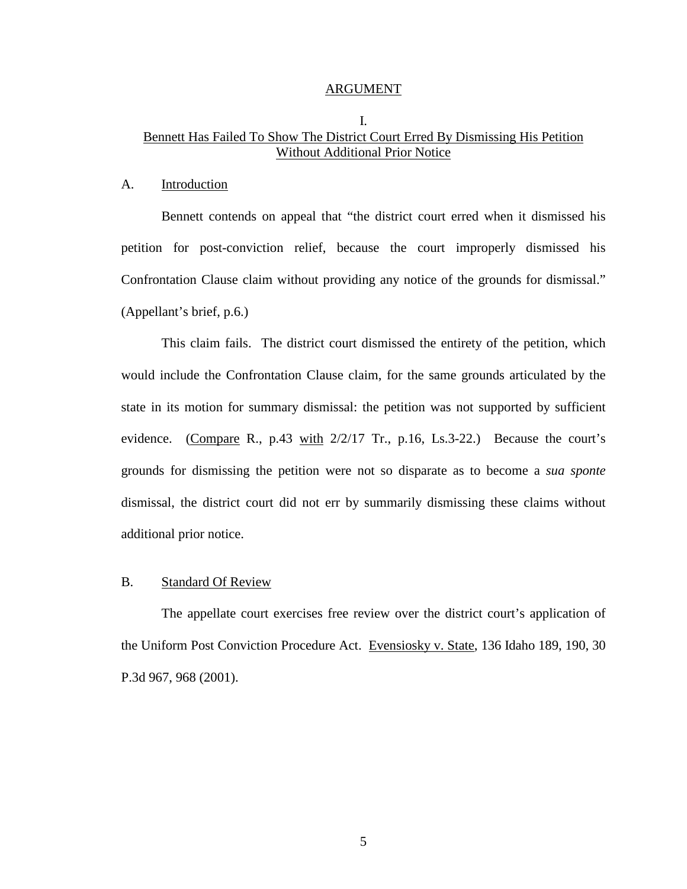#### ARGUMENT

## I. Bennett Has Failed To Show The District Court Erred By Dismissing His Petition Without Additional Prior Notice

#### A. Introduction

Bennett contends on appeal that "the district court erred when it dismissed his petition for post-conviction relief, because the court improperly dismissed his Confrontation Clause claim without providing any notice of the grounds for dismissal." (Appellant's brief, p.6.)

This claim fails. The district court dismissed the entirety of the petition, which would include the Confrontation Clause claim, for the same grounds articulated by the state in its motion for summary dismissal: the petition was not supported by sufficient evidence. (Compare R., p.43 with 2/2/17 Tr., p.16, Ls.3-22.) Because the court's grounds for dismissing the petition were not so disparate as to become a *sua sponte* dismissal, the district court did not err by summarily dismissing these claims without additional prior notice.

### B. Standard Of Review

The appellate court exercises free review over the district court's application of the Uniform Post Conviction Procedure Act. Evensiosky v. State, 136 Idaho 189, 190, 30 P.3d 967, 968 (2001).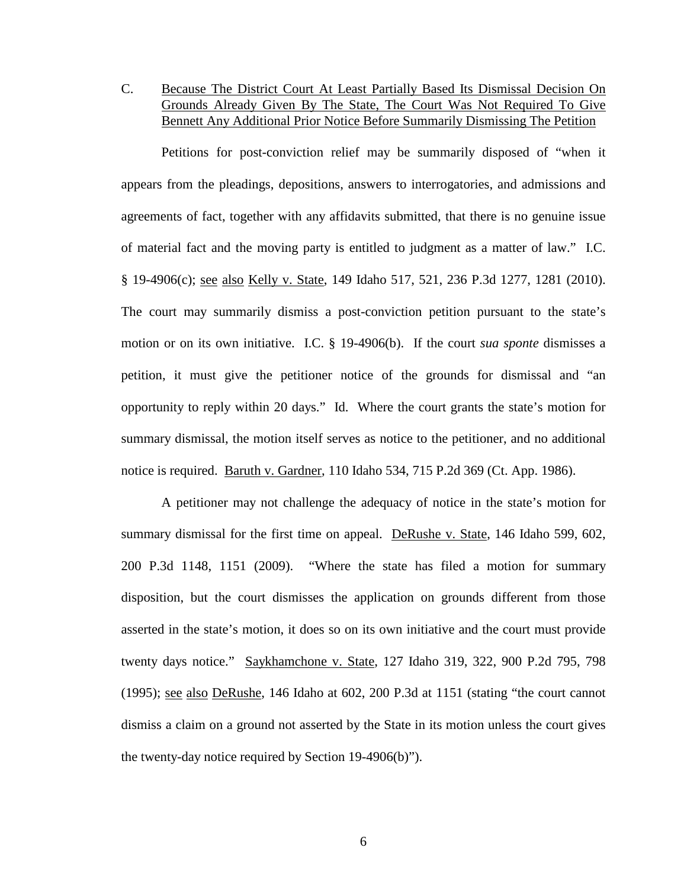C. Because The District Court At Least Partially Based Its Dismissal Decision On Grounds Already Given By The State, The Court Was Not Required To Give Bennett Any Additional Prior Notice Before Summarily Dismissing The Petition

Petitions for post-conviction relief may be summarily disposed of "when it appears from the pleadings, depositions, answers to interrogatories, and admissions and agreements of fact, together with any affidavits submitted, that there is no genuine issue of material fact and the moving party is entitled to judgment as a matter of law." I.C. § 19-4906(c); see also Kelly v. State, 149 Idaho 517, 521, 236 P.3d 1277, 1281 (2010). The court may summarily dismiss a post-conviction petition pursuant to the state's motion or on its own initiative. I.C. § 19-4906(b). If the court *sua sponte* dismisses a petition, it must give the petitioner notice of the grounds for dismissal and "an opportunity to reply within 20 days." Id. Where the court grants the state's motion for summary dismissal, the motion itself serves as notice to the petitioner, and no additional notice is required. Baruth v. Gardner, 110 Idaho 534, 715 P.2d 369 (Ct. App. 1986).

A petitioner may not challenge the adequacy of notice in the state's motion for summary dismissal for the first time on appeal. DeRushe v. State, 146 Idaho 599, 602, 200 P.3d 1148, 1151 (2009). "Where the state has filed a motion for summary disposition, but the court dismisses the application on grounds different from those asserted in the state's motion, it does so on its own initiative and the court must provide twenty days notice." Saykhamchone v. State, 127 Idaho 319, 322, 900 P.2d 795, 798 (1995); see also DeRushe, 146 Idaho at 602, 200 P.3d at 1151 (stating "the court cannot dismiss a claim on a ground not asserted by the State in its motion unless the court gives the twenty-day notice required by Section 19-4906(b)").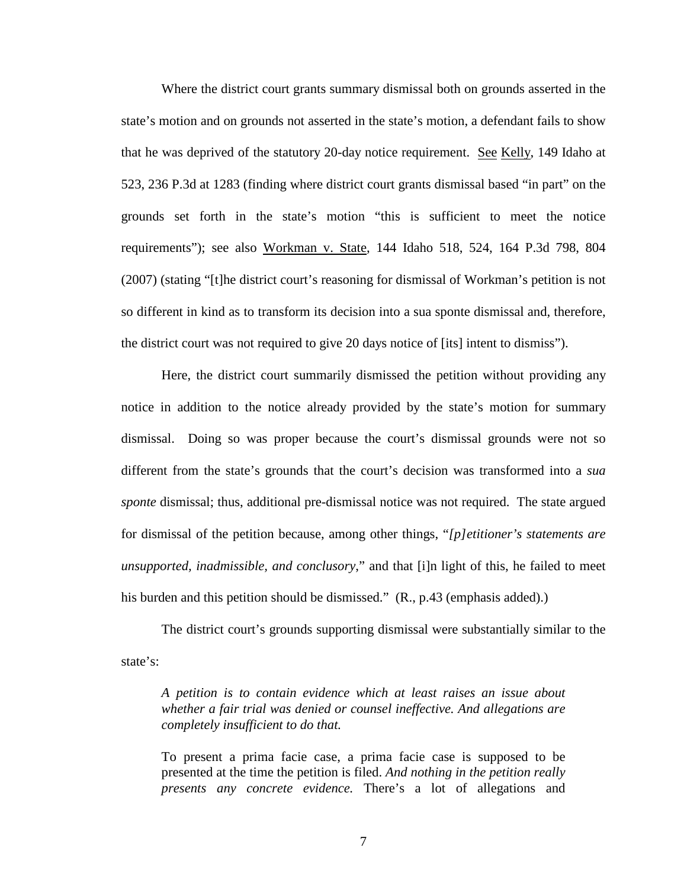Where the district court grants summary dismissal both on grounds asserted in the state's motion and on grounds not asserted in the state's motion, a defendant fails to show that he was deprived of the statutory 20-day notice requirement. See Kelly, 149 Idaho at 523, 236 P.3d at 1283 (finding where district court grants dismissal based "in part" on the grounds set forth in the state's motion "this is sufficient to meet the notice requirements"); see also Workman v. State, 144 Idaho 518, 524, 164 P.3d 798, 804 (2007) (stating "[t]he district court's reasoning for dismissal of Workman's petition is not so different in kind as to transform its decision into a sua sponte dismissal and, therefore, the district court was not required to give 20 days notice of [its] intent to dismiss").

Here, the district court summarily dismissed the petition without providing any notice in addition to the notice already provided by the state's motion for summary dismissal. Doing so was proper because the court's dismissal grounds were not so different from the state's grounds that the court's decision was transformed into a *sua sponte* dismissal; thus, additional pre-dismissal notice was not required. The state argued for dismissal of the petition because, among other things, "*[p]etitioner's statements are unsupported, inadmissible, and conclusory*," and that [i]n light of this, he failed to meet his burden and this petition should be dismissed." (R., p.43 (emphasis added).)

The district court's grounds supporting dismissal were substantially similar to the state's:

*A petition is to contain evidence which at least raises an issue about whether a fair trial was denied or counsel ineffective. And allegations are completely insufficient to do that.*

To present a prima facie case, a prima facie case is supposed to be presented at the time the petition is filed. *And nothing in the petition really presents any concrete evidence.* There's a lot of allegations and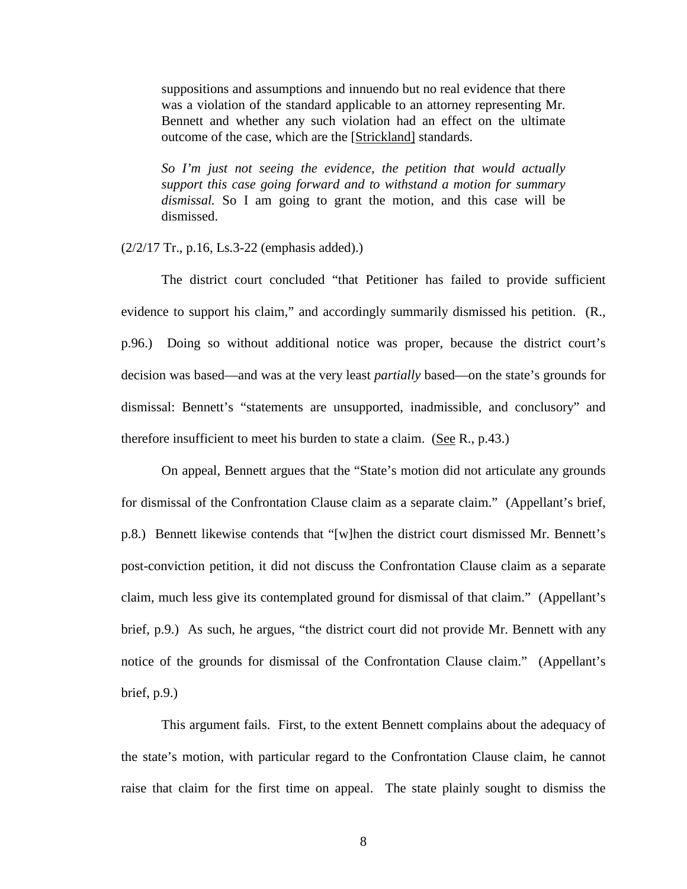suppositions and assumptions and innuendo but no real evidence that there was a violation of the standard applicable to an attorney representing Mr. Bennett and whether any such violation had an effect on the ultimate outcome of the case, which are the [Strickland] standards.

*So I'm just not seeing the evidence, the petition that would actually support this case going forward and to withstand a motion for summary dismissal.* So I am going to grant the motion, and this case will be dismissed.

#### (2/2/17 Tr., p.16, Ls.3-22 (emphasis added).)

The district court concluded "that Petitioner has failed to provide sufficient evidence to support his claim," and accordingly summarily dismissed his petition. (R., p.96.) Doing so without additional notice was proper, because the district court's decision was based—and was at the very least *partially* based—on the state's grounds for dismissal: Bennett's "statements are unsupported, inadmissible, and conclusory" and therefore insufficient to meet his burden to state a claim. (See R., p.43.)

On appeal, Bennett argues that the "State's motion did not articulate any grounds for dismissal of the Confrontation Clause claim as a separate claim." (Appellant's brief, p.8.) Bennett likewise contends that "[w]hen the district court dismissed Mr. Bennett's post-conviction petition, it did not discuss the Confrontation Clause claim as a separate claim, much less give its contemplated ground for dismissal of that claim." (Appellant's brief, p.9.) As such, he argues, "the district court did not provide Mr. Bennett with any notice of the grounds for dismissal of the Confrontation Clause claim." (Appellant's brief, p.9.)

This argument fails. First, to the extent Bennett complains about the adequacy of the state's motion, with particular regard to the Confrontation Clause claim, he cannot raise that claim for the first time on appeal. The state plainly sought to dismiss the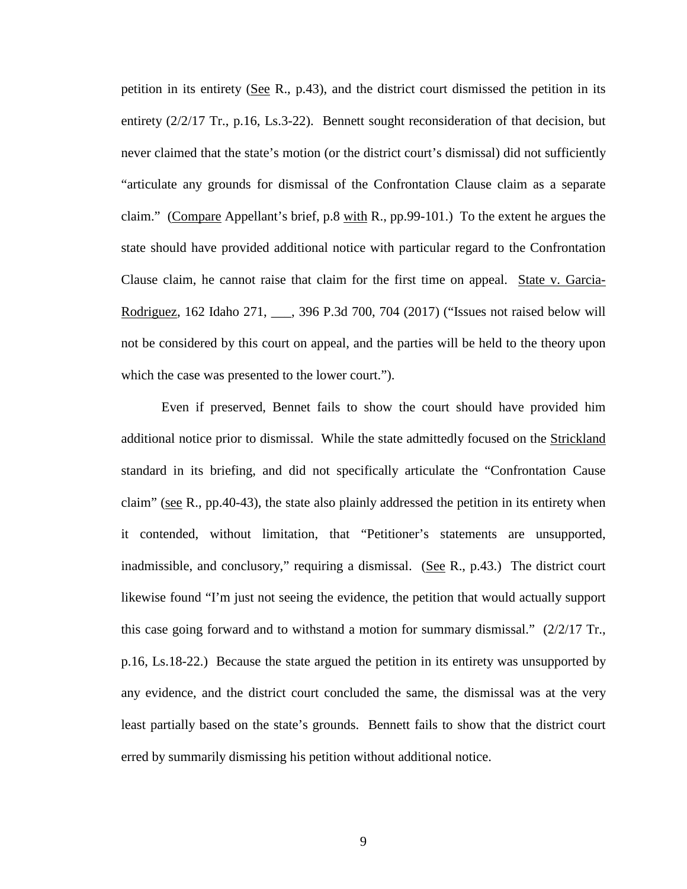petition in its entirety (See R., p.43), and the district court dismissed the petition in its entirety (2/2/17 Tr., p.16, Ls.3-22). Bennett sought reconsideration of that decision, but never claimed that the state's motion (or the district court's dismissal) did not sufficiently "articulate any grounds for dismissal of the Confrontation Clause claim as a separate claim." (Compare Appellant's brief, p.8 with R., pp.99-101.) To the extent he argues the state should have provided additional notice with particular regard to the Confrontation Clause claim, he cannot raise that claim for the first time on appeal. State v. Garcia-Rodriguez, 162 Idaho 271, \_\_\_, 396 P.3d 700, 704 (2017) ("Issues not raised below will not be considered by this court on appeal, and the parties will be held to the theory upon which the case was presented to the lower court.").

Even if preserved, Bennet fails to show the court should have provided him additional notice prior to dismissal. While the state admittedly focused on the Strickland standard in its briefing, and did not specifically articulate the "Confrontation Cause claim" (see R., pp.40-43), the state also plainly addressed the petition in its entirety when it contended, without limitation, that "Petitioner's statements are unsupported, inadmissible, and conclusory," requiring a dismissal. (See R., p.43.) The district court likewise found "I'm just not seeing the evidence, the petition that would actually support this case going forward and to withstand a motion for summary dismissal." (2/2/17 Tr., p.16, Ls.18-22.) Because the state argued the petition in its entirety was unsupported by any evidence, and the district court concluded the same, the dismissal was at the very least partially based on the state's grounds. Bennett fails to show that the district court erred by summarily dismissing his petition without additional notice.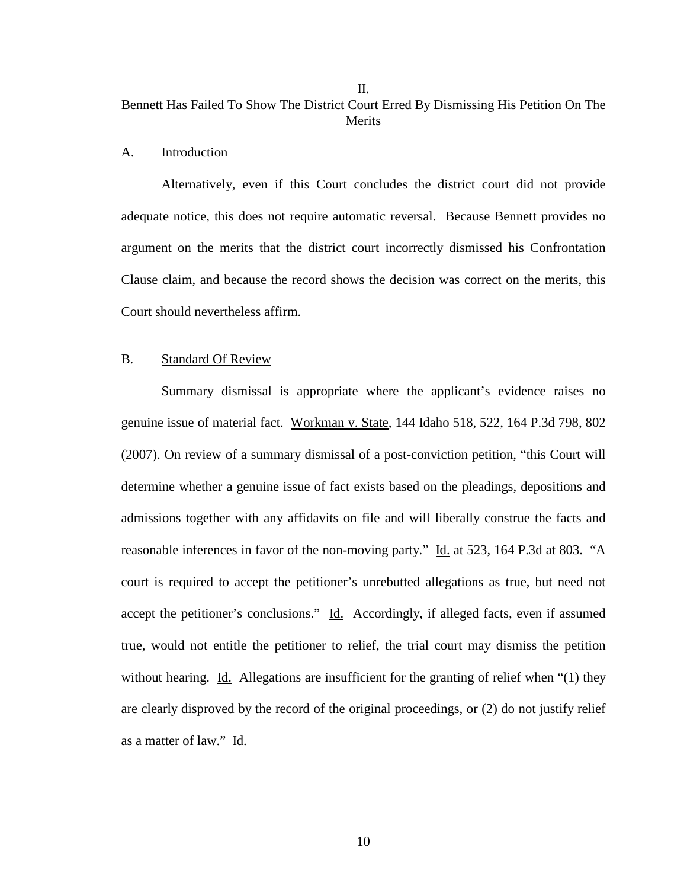## II. Bennett Has Failed To Show The District Court Erred By Dismissing His Petition On The Merits

#### A. Introduction

Alternatively, even if this Court concludes the district court did not provide adequate notice, this does not require automatic reversal. Because Bennett provides no argument on the merits that the district court incorrectly dismissed his Confrontation Clause claim, and because the record shows the decision was correct on the merits, this Court should nevertheless affirm.

#### B. Standard Of Review

Summary dismissal is appropriate where the applicant's evidence raises no genuine issue of material fact. Workman v. State, 144 Idaho 518, 522, 164 P.3d 798, 802 (2007). On review of a summary dismissal of a post-conviction petition, "this Court will determine whether a genuine issue of fact exists based on the pleadings, depositions and admissions together with any affidavits on file and will liberally construe the facts and reasonable inferences in favor of the non-moving party." Id. at 523, 164 P.3d at 803. "A court is required to accept the petitioner's unrebutted allegations as true, but need not accept the petitioner's conclusions." Id. Accordingly, if alleged facts, even if assumed true, would not entitle the petitioner to relief, the trial court may dismiss the petition without hearing. Id. Allegations are insufficient for the granting of relief when "(1) they are clearly disproved by the record of the original proceedings, or (2) do not justify relief as a matter of law." Id.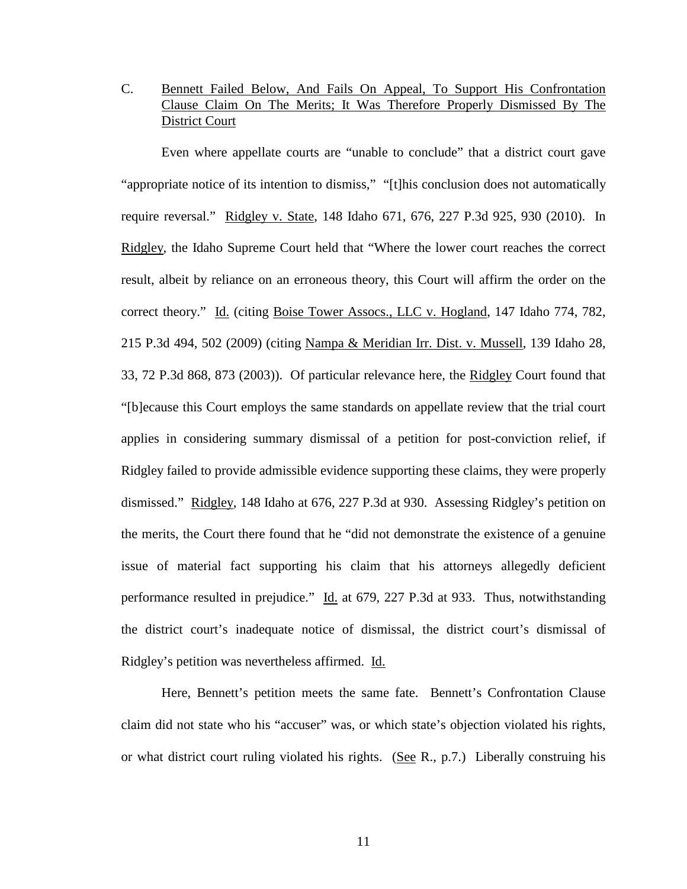## C. Bennett Failed Below, And Fails On Appeal, To Support His Confrontation Clause Claim On The Merits; It Was Therefore Properly Dismissed By The District Court

Even where appellate courts are "unable to conclude" that a district court gave "appropriate notice of its intention to dismiss," "[t]his conclusion does not automatically require reversal." Ridgley v. State, 148 Idaho 671, 676, 227 P.3d 925, 930 (2010). In Ridgley, the Idaho Supreme Court held that "Where the lower court reaches the correct result, albeit by reliance on an erroneous theory, this Court will affirm the order on the correct theory." Id. (citing Boise Tower Assocs., LLC v. Hogland, 147 Idaho 774, 782, 215 P.3d 494, 502 (2009) (citing Nampa & Meridian Irr. Dist. v. Mussell, 139 Idaho 28, 33, 72 P.3d 868, 873 (2003)). Of particular relevance here, the Ridgley Court found that "[b]ecause this Court employs the same standards on appellate review that the trial court applies in considering summary dismissal of a petition for post-conviction relief, if Ridgley failed to provide admissible evidence supporting these claims, they were properly dismissed." Ridgley, 148 Idaho at 676, 227 P.3d at 930. Assessing Ridgley's petition on the merits, the Court there found that he "did not demonstrate the existence of a genuine issue of material fact supporting his claim that his attorneys allegedly deficient performance resulted in prejudice." Id. at 679, 227 P.3d at 933. Thus, notwithstanding the district court's inadequate notice of dismissal, the district court's dismissal of Ridgley's petition was nevertheless affirmed. Id.

Here, Bennett's petition meets the same fate. Bennett's Confrontation Clause claim did not state who his "accuser" was, or which state's objection violated his rights, or what district court ruling violated his rights. (See R., p.7.) Liberally construing his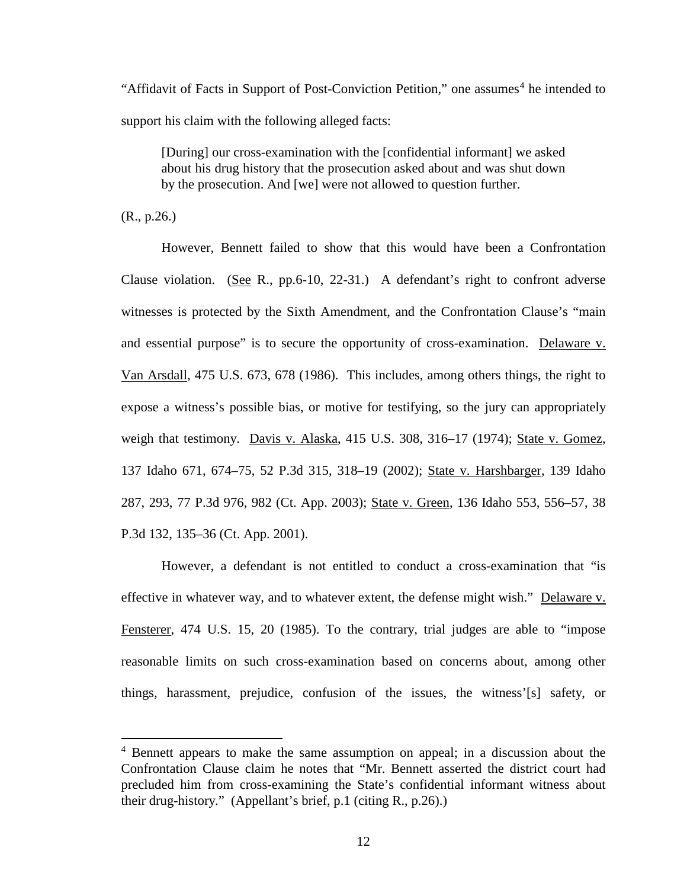"Affidavit of Facts in Support of Post-Conviction Petition," one assumes<sup>[4](#page-17-0)</sup> he intended to support his claim with the following alleged facts:

[During] our cross-examination with the [confidential informant] we asked about his drug history that the prosecution asked about and was shut down by the prosecution. And [we] were not allowed to question further.

(R., p.26.)

 $\overline{a}$ 

However, Bennett failed to show that this would have been a Confrontation Clause violation. (See R., pp.6-10, 22-31.) A defendant's right to confront adverse witnesses is protected by the Sixth Amendment, and the Confrontation Clause's "main and essential purpose" is to secure the opportunity of cross-examination. Delaware v. Van Arsdall, 475 U.S. 673, 678 (1986). This includes, among others things, the right to expose a witness's possible bias, or motive for testifying, so the jury can appropriately weigh that testimony. Davis v. Alaska, 415 U.S. 308, 316–17 (1974); State v. Gomez, 137 Idaho 671, 674–75, 52 P.3d 315, 318–19 (2002); State v. Harshbarger, 139 Idaho 287, 293, 77 P.3d 976, 982 (Ct. App. 2003); State v. Green, 136 Idaho 553, 556–57, 38 P.3d 132, 135–36 (Ct. App. 2001).

However, a defendant is not entitled to conduct a cross-examination that "is effective in whatever way, and to whatever extent, the defense might wish." Delaware v. Fensterer, 474 U.S. 15, 20 (1985). To the contrary, trial judges are able to "impose reasonable limits on such cross-examination based on concerns about, among other things, harassment, prejudice, confusion of the issues, the witness'[s] safety, or

<span id="page-17-0"></span><sup>4</sup> Bennett appears to make the same assumption on appeal; in a discussion about the Confrontation Clause claim he notes that "Mr. Bennett asserted the district court had precluded him from cross-examining the State's confidential informant witness about their drug-history." (Appellant's brief, p.1 (citing R., p.26).)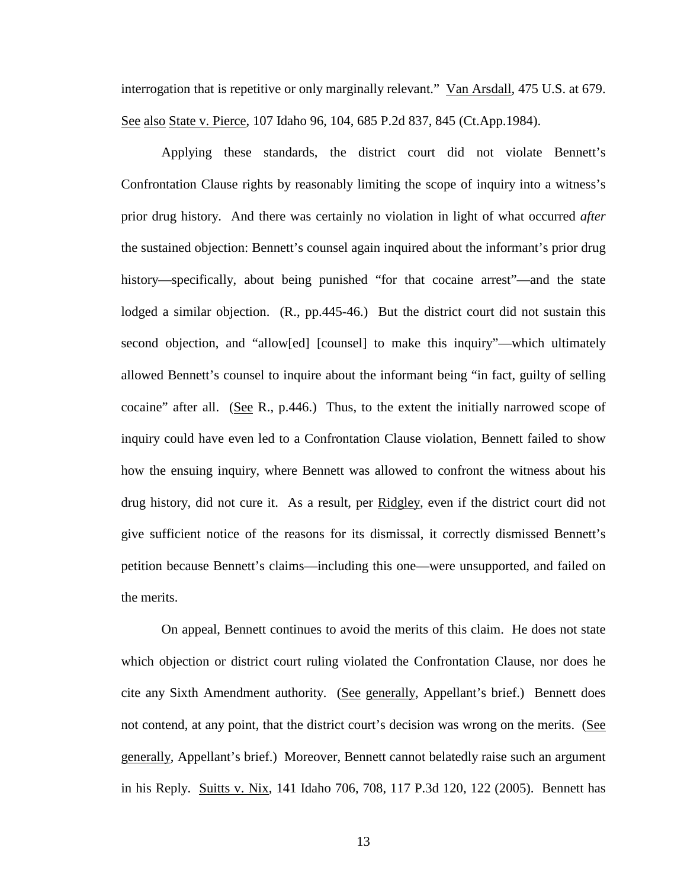interrogation that is repetitive or only marginally relevant." Van Arsdall, 475 U.S. at 679. See also State v. Pierce, 107 Idaho 96, 104, 685 P.2d 837, 845 (Ct.App.1984).

Applying these standards, the district court did not violate Bennett's Confrontation Clause rights by reasonably limiting the scope of inquiry into a witness's prior drug history. And there was certainly no violation in light of what occurred *after* the sustained objection: Bennett's counsel again inquired about the informant's prior drug history—specifically, about being punished "for that cocaine arrest"—and the state lodged a similar objection. (R., pp.445-46.) But the district court did not sustain this second objection, and "allow[ed] [counsel] to make this inquiry"—which ultimately allowed Bennett's counsel to inquire about the informant being "in fact, guilty of selling cocaine" after all. (See R., p.446.) Thus, to the extent the initially narrowed scope of inquiry could have even led to a Confrontation Clause violation, Bennett failed to show how the ensuing inquiry, where Bennett was allowed to confront the witness about his drug history, did not cure it. As a result, per Ridgley, even if the district court did not give sufficient notice of the reasons for its dismissal, it correctly dismissed Bennett's petition because Bennett's claims—including this one—were unsupported, and failed on the merits.

On appeal, Bennett continues to avoid the merits of this claim. He does not state which objection or district court ruling violated the Confrontation Clause, nor does he cite any Sixth Amendment authority. (See generally, Appellant's brief.) Bennett does not contend, at any point, that the district court's decision was wrong on the merits. (See generally, Appellant's brief.) Moreover, Bennett cannot belatedly raise such an argument in his Reply. Suitts v. Nix, 141 Idaho 706, 708, 117 P.3d 120, 122 (2005). Bennett has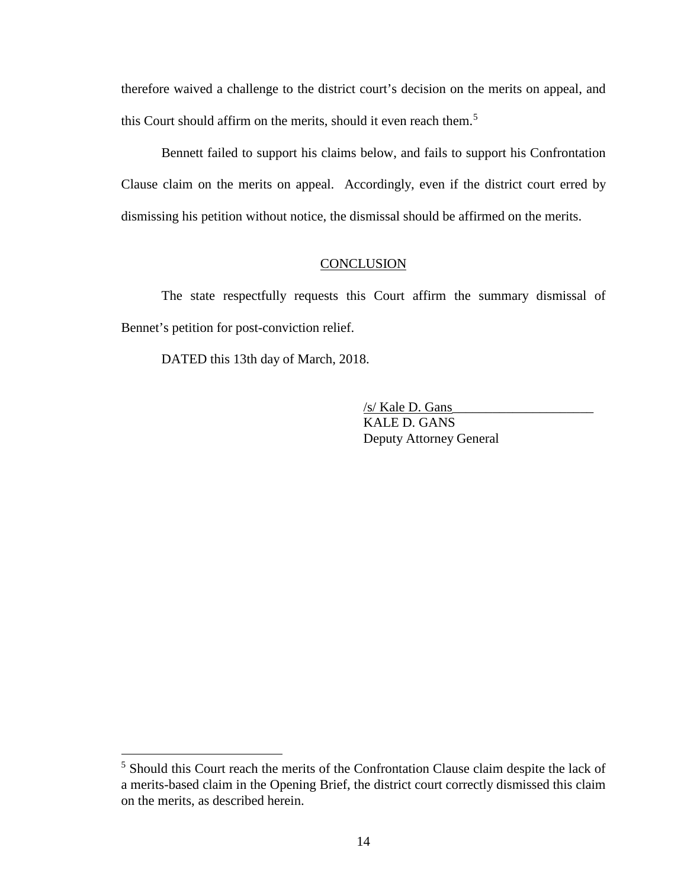therefore waived a challenge to the district court's decision on the merits on appeal, and this Court should affirm on the merits, should it even reach them.<sup>[5](#page-19-0)</sup>

Bennett failed to support his claims below, and fails to support his Confrontation Clause claim on the merits on appeal. Accordingly, even if the district court erred by dismissing his petition without notice, the dismissal should be affirmed on the merits.

## **CONCLUSION**

The state respectfully requests this Court affirm the summary dismissal of Bennet's petition for post-conviction relief.

DATED this 13th day of March, 2018.

 $\overline{a}$ 

/s/ Kale D. Gans\_\_\_\_\_\_\_\_\_\_\_\_\_\_\_\_\_\_\_\_\_ KALE D. GANS Deputy Attorney General

<span id="page-19-0"></span><sup>&</sup>lt;sup>5</sup> Should this Court reach the merits of the Confrontation Clause claim despite the lack of a merits-based claim in the Opening Brief, the district court correctly dismissed this claim on the merits, as described herein.